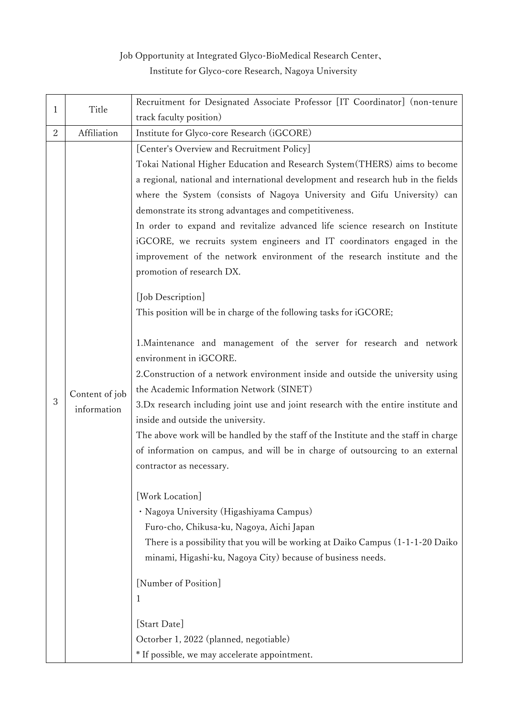## Job Opportunity at Integrated Glyco-BioMedical Research Center、 Institute for Glyco-core Research, Nagoya University

|              | Title                         | Recruitment for Designated Associate Professor [IT Coordinator] (non-tenure                                                                                                                                                                                                                                                                                                                                                                                                                                                                                                                                                                                                                                                                                                                                                                                                                                                                                                                                                                                                                                                                                                                                                                                                                                                                                                                                                                                                                                                                                                                                 |
|--------------|-------------------------------|-------------------------------------------------------------------------------------------------------------------------------------------------------------------------------------------------------------------------------------------------------------------------------------------------------------------------------------------------------------------------------------------------------------------------------------------------------------------------------------------------------------------------------------------------------------------------------------------------------------------------------------------------------------------------------------------------------------------------------------------------------------------------------------------------------------------------------------------------------------------------------------------------------------------------------------------------------------------------------------------------------------------------------------------------------------------------------------------------------------------------------------------------------------------------------------------------------------------------------------------------------------------------------------------------------------------------------------------------------------------------------------------------------------------------------------------------------------------------------------------------------------------------------------------------------------------------------------------------------------|
| $\mathbf{1}$ |                               | track faculty position)                                                                                                                                                                                                                                                                                                                                                                                                                                                                                                                                                                                                                                                                                                                                                                                                                                                                                                                                                                                                                                                                                                                                                                                                                                                                                                                                                                                                                                                                                                                                                                                     |
| 2            | Affiliation                   | Institute for Glyco-core Research (iGCORE)                                                                                                                                                                                                                                                                                                                                                                                                                                                                                                                                                                                                                                                                                                                                                                                                                                                                                                                                                                                                                                                                                                                                                                                                                                                                                                                                                                                                                                                                                                                                                                  |
| 3            | Content of job<br>information | [Center's Overview and Recruitment Policy]<br>Tokai National Higher Education and Research System (THERS) aims to become<br>a regional, national and international development and research hub in the fields<br>where the System (consists of Nagoya University and Gifu University) can<br>demonstrate its strong advantages and competitiveness.<br>In order to expand and revitalize advanced life science research on Institute<br>iGCORE, we recruits system engineers and IT coordinators engaged in the<br>improvement of the network environment of the research institute and the<br>promotion of research DX.<br>[Job Description]<br>This position will be in charge of the following tasks for iGCORE;<br>1. Maintenance and management of the server for research and network<br>environment in iGCORE.<br>2. Construction of a network environment inside and outside the university using<br>the Academic Information Network (SINET)<br>3.Dx research including joint use and joint research with the entire institute and<br>inside and outside the university.<br>The above work will be handled by the staff of the Institute and the staff in charge<br>of information on campus, and will be in charge of outsourcing to an external<br>contractor as necessary.<br>[Work Location]<br>· Nagoya University (Higashiyama Campus)<br>Furo-cho, Chikusa-ku, Nagoya, Aichi Japan<br>There is a possibility that you will be working at Daiko Campus (1-1-1-20 Daiko<br>minami, Higashi-ku, Nagoya City) because of business needs.<br>[Number of Position]<br>$\mathbf 1$<br>[Start Date] |
|              |                               | Octorber 1, 2022 (planned, negotiable)<br>* If possible, we may accelerate appointment.                                                                                                                                                                                                                                                                                                                                                                                                                                                                                                                                                                                                                                                                                                                                                                                                                                                                                                                                                                                                                                                                                                                                                                                                                                                                                                                                                                                                                                                                                                                     |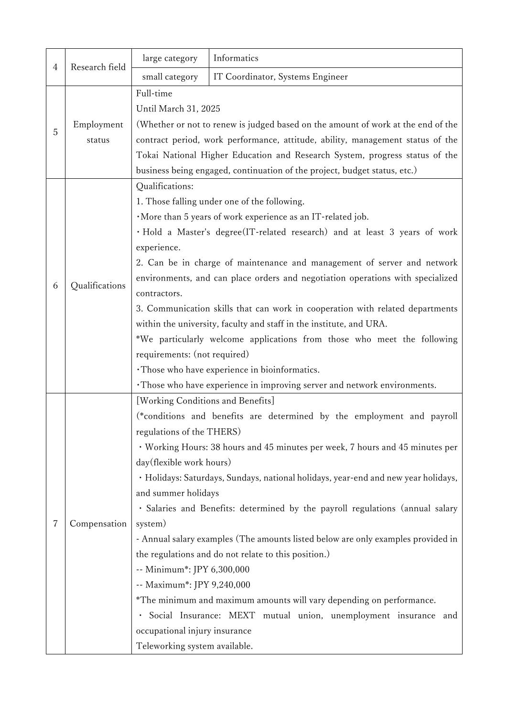| 4 | Research field       | large category                    | Informatics                                                                        |  |
|---|----------------------|-----------------------------------|------------------------------------------------------------------------------------|--|
|   |                      | small category                    | IT Coordinator, Systems Engineer                                                   |  |
|   | Employment<br>status | Full-time                         |                                                                                    |  |
|   |                      | Until March 31, 2025              |                                                                                    |  |
| 5 |                      |                                   | (Whether or not to renew is judged based on the amount of work at the end of the   |  |
|   |                      |                                   | contract period, work performance, attitude, ability, management status of the     |  |
|   |                      |                                   | Tokai National Higher Education and Research System, progress status of the        |  |
|   |                      |                                   | business being engaged, continuation of the project, budget status, etc.)          |  |
|   | Qualifications       | Qualifications:                   |                                                                                    |  |
|   |                      |                                   | 1. Those falling under one of the following.                                       |  |
|   |                      |                                   | ·More than 5 years of work experience as an IT-related job.                        |  |
|   |                      |                                   | · Hold a Master's degree(IT-related research) and at least 3 years of work         |  |
|   |                      | experience.                       |                                                                                    |  |
|   |                      |                                   | 2. Can be in charge of maintenance and management of server and network            |  |
| 6 |                      |                                   | environments, and can place orders and negotiation operations with specialized     |  |
|   |                      | contractors.                      |                                                                                    |  |
|   |                      |                                   | 3. Communication skills that can work in cooperation with related departments      |  |
|   |                      |                                   | within the university, faculty and staff in the institute, and URA.                |  |
|   |                      |                                   | *We particularly welcome applications from those who meet the following            |  |
|   |                      | requirements: (not required)      |                                                                                    |  |
|   |                      |                                   | · Those who have experience in bioinformatics.                                     |  |
|   |                      |                                   | · Those who have experience in improving server and network environments.          |  |
|   | Compensation         | [Working Conditions and Benefits] |                                                                                    |  |
|   |                      | regulations of the THERS)         | (*conditions and benefits are determined by the employment and payroll             |  |
|   |                      |                                   | · Working Hours: 38 hours and 45 minutes per week, 7 hours and 45 minutes per      |  |
|   |                      | day(flexible work hours)          |                                                                                    |  |
|   |                      |                                   | · Holidays: Saturdays, Sundays, national holidays, year-end and new year holidays, |  |
|   |                      | and summer holidays               |                                                                                    |  |
|   |                      |                                   | · Salaries and Benefits: determined by the payroll regulations (annual salary      |  |
| 7 |                      | system)                           |                                                                                    |  |
|   |                      |                                   | - Annual salary examples (The amounts listed below are only examples provided in   |  |
|   |                      |                                   | the regulations and do not relate to this position.)                               |  |
|   |                      | -- Minimum*: JPY 6,300,000        |                                                                                    |  |
|   |                      | -- Maximum*: JPY 9,240,000        |                                                                                    |  |
|   |                      |                                   | *The minimum and maximum amounts will vary depending on performance.               |  |
|   |                      |                                   | · Social Insurance: MEXT mutual union, unemployment insurance and                  |  |
|   |                      | occupational injury insurance     |                                                                                    |  |
|   |                      | Teleworking system available.     |                                                                                    |  |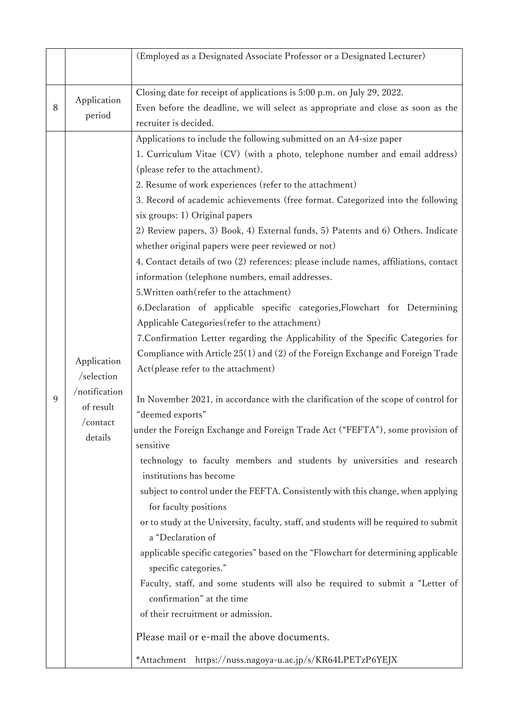|   |                                                                                | (Employed as a Designated Associate Professor or a Designated Lecturer)                                                                                                                                                                                                                                                                                                                                                                                                                                                                                                                                                                                                                                                                                                                                                                                                                                                                                                                                                                                                                                                                                                                                                                                                                                                                                                                                                                                                                                                                                                                                                                                                                                                                                                                                                                                                                                                                                                               |
|---|--------------------------------------------------------------------------------|---------------------------------------------------------------------------------------------------------------------------------------------------------------------------------------------------------------------------------------------------------------------------------------------------------------------------------------------------------------------------------------------------------------------------------------------------------------------------------------------------------------------------------------------------------------------------------------------------------------------------------------------------------------------------------------------------------------------------------------------------------------------------------------------------------------------------------------------------------------------------------------------------------------------------------------------------------------------------------------------------------------------------------------------------------------------------------------------------------------------------------------------------------------------------------------------------------------------------------------------------------------------------------------------------------------------------------------------------------------------------------------------------------------------------------------------------------------------------------------------------------------------------------------------------------------------------------------------------------------------------------------------------------------------------------------------------------------------------------------------------------------------------------------------------------------------------------------------------------------------------------------------------------------------------------------------------------------------------------------|
| 8 | Application<br>period                                                          | Closing date for receipt of applications is 5:00 p.m. on July 29, 2022.<br>Even before the deadline, we will select as appropriate and close as soon as the<br>recruiter is decided.                                                                                                                                                                                                                                                                                                                                                                                                                                                                                                                                                                                                                                                                                                                                                                                                                                                                                                                                                                                                                                                                                                                                                                                                                                                                                                                                                                                                                                                                                                                                                                                                                                                                                                                                                                                                  |
| 9 | Application<br>/selection<br>/notification<br>of result<br>/contact<br>details | Applications to include the following submitted on an A4-size paper<br>1. Curriculum Vitae (CV) (with a photo, telephone number and email address)<br>(please refer to the attachment).<br>2. Resume of work experiences (refer to the attachment)<br>3. Record of academic achievements (free format. Categorized into the following<br>six groups: 1) Original papers<br>2) Review papers, 3) Book, 4) External funds, 5) Patents and 6) Others. Indicate<br>whether original papers were peer reviewed or not)<br>4. Contact details of two (2) references: please include names, affiliations, contact<br>information (telephone numbers, email addresses.<br>5. Written oath (refer to the attachment)<br>6. Declaration of applicable specific categories, Flowchart for Determining<br>Applicable Categories (refer to the attachment)<br>7. Confirmation Letter regarding the Applicability of the Specific Categories for<br>Compliance with Article 25(1) and (2) of the Foreign Exchange and Foreign Trade<br>Act(please refer to the attachment)<br>In November 2021, in accordance with the clarification of the scope of control for<br>"deemed exports"<br>under the Foreign Exchange and Foreign Trade Act ("FEFTA"), some provision of<br>sensitive<br>technology to faculty members and students by universities and research<br>institutions has become<br>subject to control under the FEFTA. Consistently with this change, when applying<br>for faculty positions<br>or to study at the University, faculty, staff, and students will be required to submit<br>a "Declaration of<br>applicable specific categories" based on the "Flowchart for determining applicable<br>specific categories."<br>Faculty, staff, and some students will also be required to submit a "Letter of<br>confirmation" at the time<br>of their recruitment or admission.<br>Please mail or e-mail the above documents.<br>*Attachment https://nuss.nagoya-u.ac.jp/s/KR64LPETzP6YEJX |